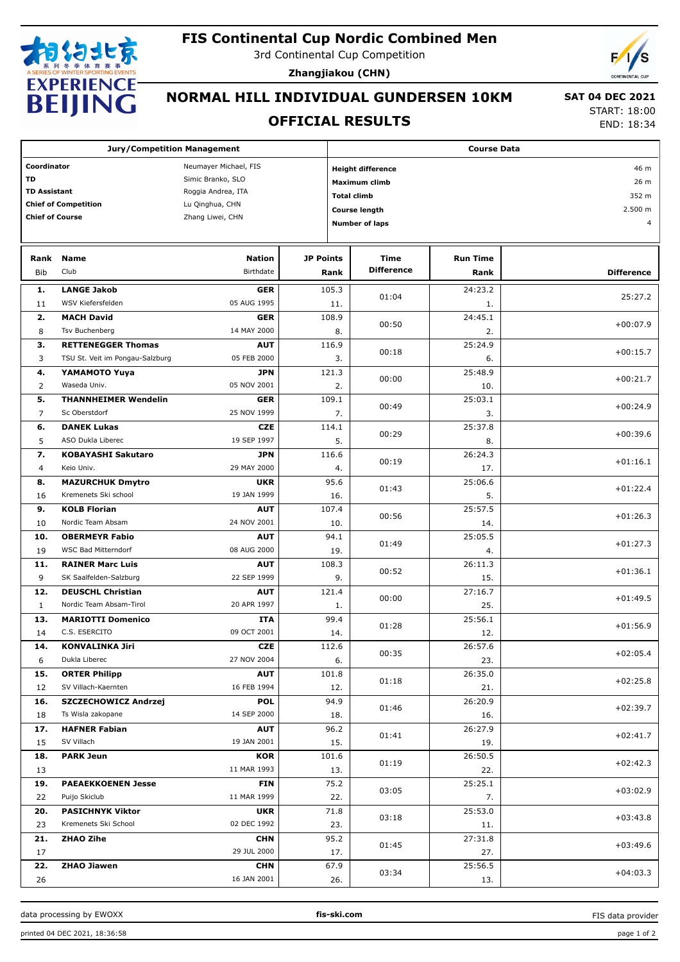

3rd Continental Cup Competition



**Zhangjiakou (CHN)**

# **NORMAL HILL INDIVIDUAL GUNDERSEN 10KM**

#### **OFFICIAL RESULTS**

 **SAT 04 DEC 2021** START: 18:00

END: 18:34

| <b>Jury/Competition Management</b> |                                                 |                           |                  | <b>Course Data</b> |                          |                 |                   |  |
|------------------------------------|-------------------------------------------------|---------------------------|------------------|--------------------|--------------------------|-----------------|-------------------|--|
| Coordinator                        |                                                 | Neumayer Michael, FIS     |                  |                    | <b>Height difference</b> |                 | 46 m              |  |
| <b>TD</b>                          |                                                 | Simic Branko, SLO         |                  |                    | <b>Maximum climb</b>     | 26 m            |                   |  |
| <b>TD Assistant</b>                |                                                 | Roggia Andrea, ITA        |                  |                    | <b>Total climb</b>       | 352 m           |                   |  |
|                                    | <b>Chief of Competition</b>                     | Lu Qinghua, CHN           |                  |                    |                          | 2.500 m         |                   |  |
| <b>Chief of Course</b>             |                                                 | Zhang Liwei, CHN          |                  |                    | <b>Course length</b>     |                 |                   |  |
| <b>Number of laps</b><br>4         |                                                 |                           |                  |                    |                          |                 |                   |  |
|                                    |                                                 |                           |                  |                    |                          |                 |                   |  |
| Rank                               | <b>Name</b>                                     | <b>Nation</b>             | <b>JP Points</b> |                    | <b>Time</b>              | <b>Run Time</b> |                   |  |
| <b>Bib</b>                         | Club                                            | Birthdate                 |                  | Rank               | <b>Difference</b>        | Rank            | <b>Difference</b> |  |
| 1.                                 | <b>LANGE Jakob</b>                              | <b>GER</b>                |                  | 105.3              | 01:04                    | 24:23.2         | 25:27.2           |  |
| 11                                 | WSV Kiefersfelden                               | 05 AUG 1995               |                  | 11.                |                          | 1.              |                   |  |
| 2.                                 | <b>MACH David</b>                               | <b>GER</b>                |                  | 108.9              | 00:50                    | 24:45.1         | $+00:07.9$        |  |
| 8                                  | Tsv Buchenberg                                  | 14 MAY 2000               |                  | 8.                 |                          | 2.              |                   |  |
| з.                                 | <b>RETTENEGGER Thomas</b>                       | <b>AUT</b>                |                  | 116.9              | 00:18                    | 25:24.9         | $+00:15.7$        |  |
| 3                                  | TSU St. Veit im Pongau-Salzburg                 | 05 FEB 2000               |                  | 3.                 |                          | 6.              |                   |  |
| 4.                                 | <b>YAMAMOTO Yuya</b>                            | <b>JPN</b>                |                  | 121.3              | 00:00                    | 25:48.9         | $+00:21.7$        |  |
| 2                                  | Waseda Univ.                                    | 05 NOV 2001               |                  | 2.                 |                          | 10.             |                   |  |
| 5.                                 | <b>THANNHEIMER Wendelin</b>                     | <b>GER</b>                |                  | 109.1              | 00:49                    | 25:03.1         | $+00:24.9$        |  |
| $\overline{7}$                     | Sc Oberstdorf                                   | 25 NOV 1999               |                  | 7.                 |                          | 3.              |                   |  |
| 6.                                 | <b>DANEK Lukas</b><br>ASO Dukla Liberec         | <b>CZE</b><br>19 SEP 1997 |                  | 114.1              | 00:29                    | 25:37.8         | $+00:39.6$        |  |
| 5                                  |                                                 |                           |                  | 5.                 |                          | 8.              |                   |  |
| 7.                                 | <b>KOBAYASHI Sakutaro</b>                       | <b>JPN</b><br>29 MAY 2000 |                  | 116.6              | 00:19                    | 26:24.3         | $+01:16.1$        |  |
| 4                                  | Keio Univ.                                      |                           |                  | 4.                 |                          | 17.             |                   |  |
| 8.<br>16                           | <b>MAZURCHUK Dmytro</b><br>Kremenets Ski school | <b>UKR</b><br>19 JAN 1999 |                  | 95.6<br>16.        | 01:43                    | 25:06.6<br>5.   | $+01:22.4$        |  |
| 9.                                 | <b>KOLB Florian</b>                             | <b>AUT</b>                |                  | 107.4              |                          | 25:57.5         |                   |  |
| 10                                 | Nordic Team Absam                               | 24 NOV 2001               |                  | 10.                | 00:56                    | 14.             | $+01:26.3$        |  |
| 10.                                | <b>OBERMEYR Fabio</b>                           | <b>AUT</b>                |                  | 94.1               |                          | 25:05.5         |                   |  |
| 19                                 | <b>WSC Bad Mitterndorf</b>                      | 08 AUG 2000               |                  | 19.                | 01:49                    | 4.              | $+01:27.3$        |  |
| 11.                                | <b>RAINER Marc Luis</b>                         | <b>AUT</b>                |                  | 108.3              |                          | 26:11.3         |                   |  |
| 9                                  | SK Saalfelden-Salzburg                          | 22 SEP 1999               |                  | 9.                 | 00:52                    | 15.             | $+01:36.1$        |  |
| 12.                                | <b>DEUSCHL Christian</b>                        | <b>AUT</b>                |                  | 121.4              |                          | 27:16.7         |                   |  |
| $\mathbf{1}$                       | Nordic Team Absam-Tirol                         | 20 APR 1997               |                  | 1.                 | 00:00                    | 25.             | $+01:49.5$        |  |
| 13.                                | <b>MARIOTTI Domenico</b>                        | ITA                       |                  | 99.4               | 01:28                    | 25:56.1         | $+01:56.9$        |  |
| 14                                 | C.S. ESERCITO                                   | 09 OCT 2001               |                  | 14.                |                          | 12.             |                   |  |
| 14.                                | <b>KONVALINKA Jiri</b>                          | <b>CZE</b>                |                  | 112.6              | 00:35                    | 26:57.6         | $+02:05.4$        |  |
| 6                                  | Dukla Liberec                                   | 27 NOV 2004               |                  | 6.                 |                          | 23.             |                   |  |
| 15.                                | <b>ORTER Philipp</b>                            | <b>AUT</b>                |                  | 101.8              | 01:18                    | 26:35.0         | $+02:25.8$        |  |
| 12                                 | SV Villach-Kaernten                             | 16 FEB 1994               |                  | 12.                |                          | 21.             |                   |  |
| 16.                                | <b>SZCZECHOWICZ Andrzej</b>                     | <b>POL</b>                |                  | 94.9               | 01:46                    | 26:20.9         | $+02:39.7$        |  |
| 18                                 | Ts Wisla zakopane                               | 14 SEP 2000               |                  | 18.                |                          | 16.             |                   |  |
| 17.                                | <b>HAFNER Fabian</b>                            | <b>AUT</b>                |                  | 96.2               | 01:41                    | 26:27.9         | $+02:41.7$        |  |
| 15                                 | SV Villach                                      | 19 JAN 2001               |                  | 15.                |                          | 19.             |                   |  |
| 18.                                | <b>PARK Jeun</b>                                | KOR                       |                  | 101.6              | 01:19                    | 26:50.5         | $+02:42.3$        |  |
| 13                                 |                                                 | 11 MAR 1993               |                  | 13.                |                          | 22.             |                   |  |
| 19.                                | <b>PAEAEKKOENEN Jesse</b><br>Puijo Skiclub      | <b>FIN</b><br>11 MAR 1999 |                  | 75.2               | 03:05                    | 25:25.1         | $+03:02.9$        |  |
| 22                                 | <b>PASICHNYK Viktor</b>                         |                           |                  | 22.                |                          | 7.              |                   |  |
| 20.<br>23                          | Kremenets Ski School                            | <b>UKR</b><br>02 DEC 1992 |                  | 71.8<br>23.        | 03:18                    | 25:53.0<br>11.  | $+03:43.8$        |  |
| 21.                                | <b>ZHAO Zihe</b>                                | <b>CHN</b>                |                  | 95.2               |                          | 27:31.8         |                   |  |
| 17                                 |                                                 | 29 JUL 2000               |                  | 17.                | 01:45                    | 27.             | $+03:49.6$        |  |
| 22.                                | ZHAO Jiawen                                     | <b>CHN</b>                |                  | 67.9               |                          | 25:56.5         |                   |  |
| 26                                 |                                                 | 16 JAN 2001               |                  | 26.                | 03:34                    | 13.             | $+04:03.3$        |  |

data processing by EWOXX **fis-ski.com**

FIS data provider